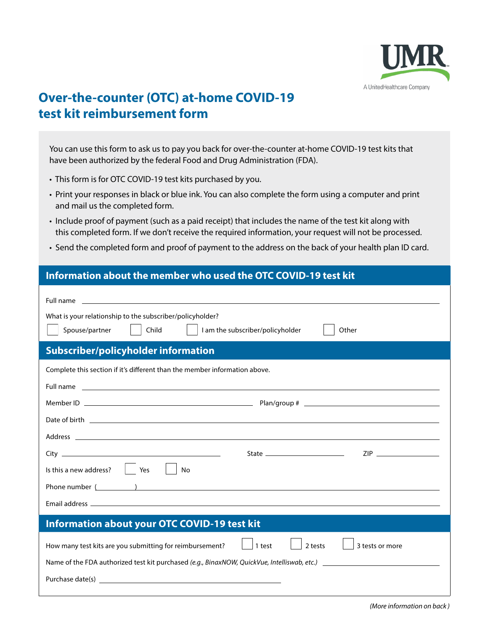

# **Over-the-counter (OTC) at-home COVID-19 test kit reimbursement form**

You can use this form to ask us to pay you back for over-the-counter at-home COVID-19 test kits that have been authorized by the federal Food and Drug Administration (FDA).

- This form is for OTC COVID-19 test kits purchased by you.
- Print your responses in black or blue ink. You can also complete the form using a computer and print and mail us the completed form.
- Include proof of payment (such as a paid receipt) that includes the name of the test kit along with this completed form. If we don't receive the required information, your request will not be processed.
- Send the completed form and proof of payment to the address on the back of your health plan ID card.

### **Information about the member who used the OTC COVID-19 test kit**

| Full name<br>What is your relationship to the subscriber/policyholder?<br>Spouse/partner<br>Child<br><b>Subscriber/policyholder information</b>                                                                                | I am the subscriber/policyholder<br>Other                                                                               |  |  |  |
|--------------------------------------------------------------------------------------------------------------------------------------------------------------------------------------------------------------------------------|-------------------------------------------------------------------------------------------------------------------------|--|--|--|
| Complete this section if it's different than the member information above.                                                                                                                                                     |                                                                                                                         |  |  |  |
| Full name                                                                                                                                                                                                                      | <u> 1989 - John Stone Barnett, skriuwer in de staatskilder en de staatskilder en de staatskilder en de staatskilder</u> |  |  |  |
|                                                                                                                                                                                                                                |                                                                                                                         |  |  |  |
|                                                                                                                                                                                                                                |                                                                                                                         |  |  |  |
| Address and the contract of the contract of the contract of the contract of the contract of the contract of the                                                                                                                |                                                                                                                         |  |  |  |
|                                                                                                                                                                                                                                |                                                                                                                         |  |  |  |
| Is this a new address? $\ \cdot\ $<br>Yes<br>No                                                                                                                                                                                |                                                                                                                         |  |  |  |
| Phone number (Communication of the contract of the contract of the contract of the contract of the contract of the contract of the contract of the contract of the contract of the contract of the contract of the contract of |                                                                                                                         |  |  |  |
|                                                                                                                                                                                                                                |                                                                                                                         |  |  |  |
| Information about your OTC COVID-19 test kit                                                                                                                                                                                   |                                                                                                                         |  |  |  |
| How many test kits are you submitting for reimbursement?                                                                                                                                                                       | 2 tests<br>1 test<br>3 tests or more                                                                                    |  |  |  |
| Name of the FDA authorized test kit purchased (e.g., BinaxNOW, QuickVue, Intelliswab, etc.) __________________                                                                                                                 |                                                                                                                         |  |  |  |
| Purchase date(s) experience and the contract of the contract of the contract of the contract of the contract of the contract of the contract of the contract of the contract of the contract of the contract of the contract o |                                                                                                                         |  |  |  |
|                                                                                                                                                                                                                                |                                                                                                                         |  |  |  |